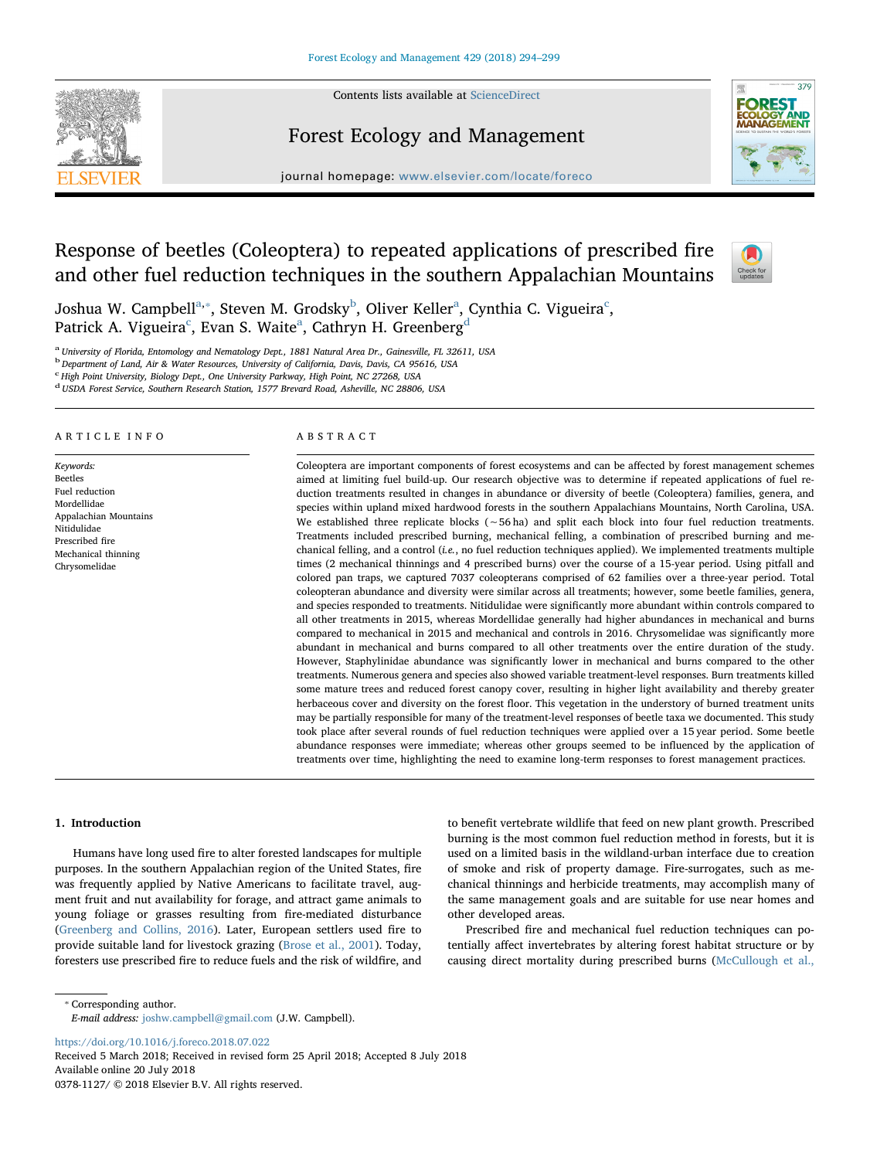Contents lists available at [ScienceDirect](http://www.sciencedirect.com/science/journal/03781127)



## Forest Ecology and Management



journal homepage: [www.elsevier.com/locate/foreco](https://www.elsevier.com/locate/foreco)

# Response of beetles (Coleoptera) to repeated applications of prescribed fire and other fuel reduction techniques in the southern Appalachian Mountains



Joshu[a](#page-0-0) W. Camp[b](#page-0-2)ell $^{\rm a, *}$ , Steven M. Grodsky $^{\rm b}$ , Oliver Keller $^{\rm a}$ , Cynthia C. Vigueira $^{\rm c}$  $^{\rm c}$  $^{\rm c}$ , P[a](#page-0-0)trick A. Vigueira $^{\rm c}$ , Evan S. Waite $^{\rm a}$ , Cathryn H. Greenberg $^{\rm d}$  $^{\rm d}$  $^{\rm d}$ 

<span id="page-0-0"></span><sup>a</sup> University of Florida, Entomology and Nematology Dept., 1881 Natural Area Dr., Gainesville, FL 32611, USA

<span id="page-0-2"></span><sup>b</sup> Department of Land, Air & Water Resources, University of California, Davis, Davis, CA 95616, USA

<span id="page-0-3"></span><sup>c</sup> High Point University, Biology Dept., One University Parkway, High Point, NC 27268, USA

<span id="page-0-4"></span><sup>d</sup> USDA Forest Service, Southern Research Station, 1577 Brevard Road, Asheville, NC 28806, USA

#### ARTICLE INFO

Keywords: Beetles Fuel reduction Mordellidae Appalachian Mountains Nitidulidae Prescribed fire Mechanical thinning Chrysomelidae

### ABSTRACT

Coleoptera are important components of forest ecosystems and can be affected by forest management schemes aimed at limiting fuel build-up. Our research objective was to determine if repeated applications of fuel reduction treatments resulted in changes in abundance or diversity of beetle (Coleoptera) families, genera, and species within upland mixed hardwood forests in the southern Appalachians Mountains, North Carolina, USA. We established three replicate blocks (∼56 ha) and split each block into four fuel reduction treatments. Treatments included prescribed burning, mechanical felling, a combination of prescribed burning and mechanical felling, and a control (i.e., no fuel reduction techniques applied). We implemented treatments multiple times (2 mechanical thinnings and 4 prescribed burns) over the course of a 15-year period. Using pitfall and colored pan traps, we captured 7037 coleopterans comprised of 62 families over a three-year period. Total coleopteran abundance and diversity were similar across all treatments; however, some beetle families, genera, and species responded to treatments. Nitidulidae were significantly more abundant within controls compared to all other treatments in 2015, whereas Mordellidae generally had higher abundances in mechanical and burns compared to mechanical in 2015 and mechanical and controls in 2016. Chrysomelidae was significantly more abundant in mechanical and burns compared to all other treatments over the entire duration of the study. However, Staphylinidae abundance was significantly lower in mechanical and burns compared to the other treatments. Numerous genera and species also showed variable treatment-level responses. Burn treatments killed some mature trees and reduced forest canopy cover, resulting in higher light availability and thereby greater herbaceous cover and diversity on the forest floor. This vegetation in the understory of burned treatment units may be partially responsible for many of the treatment-level responses of beetle taxa we documented. This study took place after several rounds of fuel reduction techniques were applied over a 15 year period. Some beetle abundance responses were immediate; whereas other groups seemed to be influenced by the application of treatments over time, highlighting the need to examine long-term responses to forest management practices.

#### 1. Introduction

Humans have long used fire to alter forested landscapes for multiple purposes. In the southern Appalachian region of the United States, fire was frequently applied by Native Americans to facilitate travel, augment fruit and nut availability for forage, and attract game animals to young foliage or grasses resulting from fire-mediated disturbance ([Greenberg and Collins, 2016](#page-4-0)). Later, European settlers used fire to provide suitable land for livestock grazing ([Brose et al., 2001\)](#page-4-1). Today, foresters use prescribed fire to reduce fuels and the risk of wildfire, and to benefit vertebrate wildlife that feed on new plant growth. Prescribed burning is the most common fuel reduction method in forests, but it is used on a limited basis in the wildland-urban interface due to creation of smoke and risk of property damage. Fire-surrogates, such as mechanical thinnings and herbicide treatments, may accomplish many of the same management goals and are suitable for use near homes and other developed areas.

Prescribed fire and mechanical fuel reduction techniques can potentially affect invertebrates by altering forest habitat structure or by causing direct mortality during prescribed burns [\(McCullough et al.,](#page-4-2)

<span id="page-0-1"></span>⁎ Corresponding author.

E-mail address: [joshw.campbell@gmail.com](mailto:joshw.campbell@gmail.com) (J.W. Campbell).

<https://doi.org/10.1016/j.foreco.2018.07.022>

Received 5 March 2018; Received in revised form 25 April 2018; Accepted 8 July 2018 Available online 20 July 2018 0378-1127/ © 2018 Elsevier B.V. All rights reserved.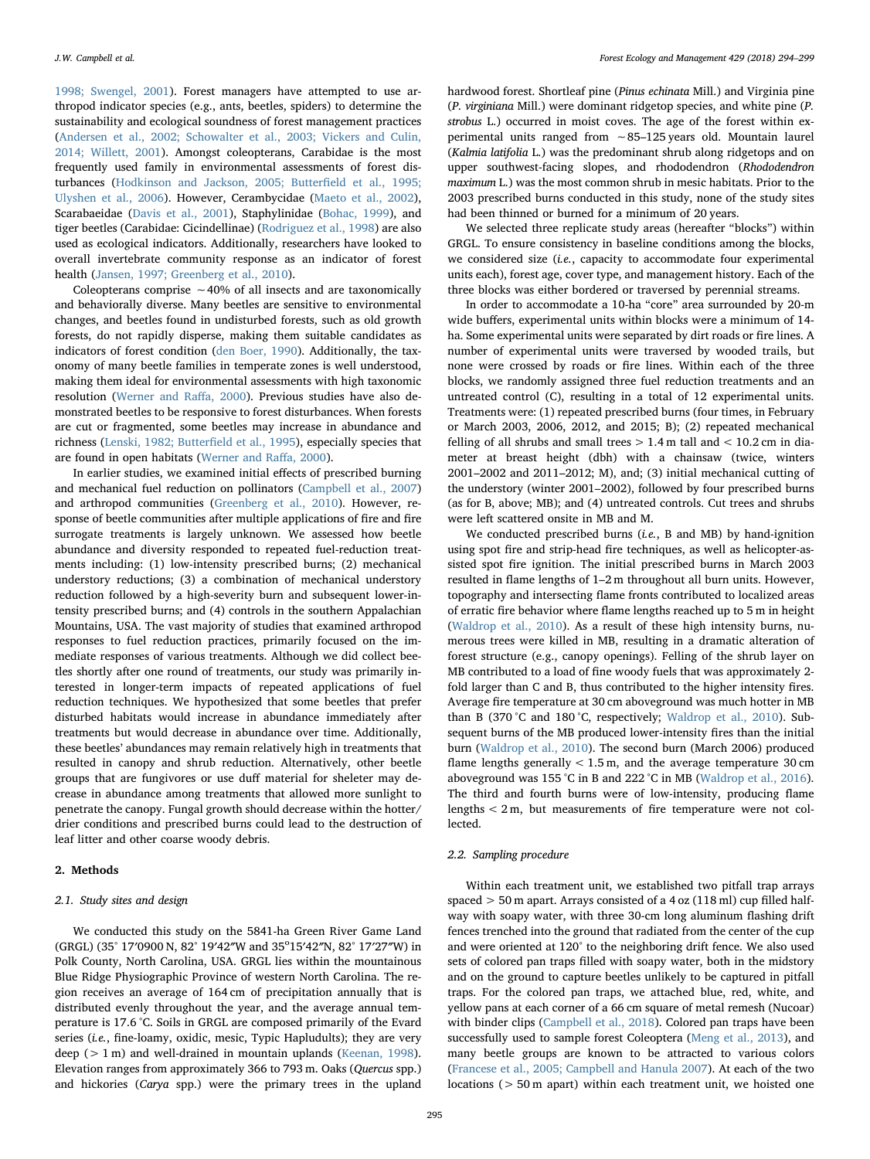[1998; Swengel, 2001](#page-4-2)). Forest managers have attempted to use arthropod indicator species (e.g., ants, beetles, spiders) to determine the sustainability and ecological soundness of forest management practices ([Andersen et al., 2002; Schowalter et al., 2003; Vickers and Culin,](#page-4-3) [2014; Willett, 2001](#page-4-3)). Amongst coleopterans, Carabidae is the most frequently used family in environmental assessments of forest disturbances [\(Hodkinson and Jackson, 2005; Butter](#page-4-4)field et al., 1995; [Ulyshen et al., 2006](#page-4-4)). However, Cerambycidae [\(Maeto et al., 2002](#page-4-5)), Scarabaeidae ([Davis et al., 2001\)](#page-4-6), Staphylinidae [\(Bohac, 1999\)](#page-4-7), and tiger beetles (Carabidae: Cicindellinae) [\(Rodriguez et al., 1998\)](#page-4-8) are also used as ecological indicators. Additionally, researchers have looked to overall invertebrate community response as an indicator of forest health [\(Jansen, 1997; Greenberg et al., 2010](#page-4-9)).

Coleopterans comprise ∼40% of all insects and are taxonomically and behaviorally diverse. Many beetles are sensitive to environmental changes, and beetles found in undisturbed forests, such as old growth forests, do not rapidly disperse, making them suitable candidates as indicators of forest condition [\(den Boer, 1990\)](#page-4-10). Additionally, the taxonomy of many beetle families in temperate zones is well understood, making them ideal for environmental assessments with high taxonomic resolution ([Werner and Ra](#page-5-0)ffa, 2000). Previous studies have also demonstrated beetles to be responsive to forest disturbances. When forests are cut or fragmented, some beetles may increase in abundance and richness ([Lenski, 1982; Butter](#page-4-11)field et al., 1995), especially species that are found in open habitats ([Werner and Ra](#page-5-0)ffa, 2000).

In earlier studies, we examined initial effects of prescribed burning and mechanical fuel reduction on pollinators [\(Campbell et al., 2007\)](#page-4-12) and arthropod communities ([Greenberg et al., 2010\)](#page-4-13). However, response of beetle communities after multiple applications of fire and fire surrogate treatments is largely unknown. We assessed how beetle abundance and diversity responded to repeated fuel-reduction treatments including: (1) low-intensity prescribed burns; (2) mechanical understory reductions; (3) a combination of mechanical understory reduction followed by a high-severity burn and subsequent lower-intensity prescribed burns; and (4) controls in the southern Appalachian Mountains, USA. The vast majority of studies that examined arthropod responses to fuel reduction practices, primarily focused on the immediate responses of various treatments. Although we did collect beetles shortly after one round of treatments, our study was primarily interested in longer-term impacts of repeated applications of fuel reduction techniques. We hypothesized that some beetles that prefer disturbed habitats would increase in abundance immediately after treatments but would decrease in abundance over time. Additionally, these beetles' abundances may remain relatively high in treatments that resulted in canopy and shrub reduction. Alternatively, other beetle groups that are fungivores or use duff material for sheleter may decrease in abundance among treatments that allowed more sunlight to penetrate the canopy. Fungal growth should decrease within the hotter/ drier conditions and prescribed burns could lead to the destruction of leaf litter and other coarse woody debris.

#### 2. Methods

#### 2.1. Study sites and design

We conducted this study on the 5841-ha Green River Game Land (GRGL) (35° 17'0900 N, 82° 19'42"W and 35°15'42"N, 82° 17'27"W) in Polk County, North Carolina, USA. GRGL lies within the mountainous Blue Ridge Physiographic Province of western North Carolina. The region receives an average of 164 cm of precipitation annually that is distributed evenly throughout the year, and the average annual temperature is 17.6 °C. Soils in GRGL are composed primarily of the Evard series (i.e., fine-loamy, oxidic, mesic, Typic Hapludults); they are very deep (> 1 m) and well-drained in mountain uplands [\(Keenan, 1998](#page-4-14)). Elevation ranges from approximately 366 to 793 m. Oaks (Quercus spp.) and hickories (Carya spp.) were the primary trees in the upland

hardwood forest. Shortleaf pine (Pinus echinata Mill.) and Virginia pine (P. virginiana Mill.) were dominant ridgetop species, and white pine (P. strobus L.) occurred in moist coves. The age of the forest within experimental units ranged from ∼85–125 years old. Mountain laurel (Kalmia latifolia L.) was the predominant shrub along ridgetops and on upper southwest-facing slopes, and rhododendron (Rhododendron maximum L.) was the most common shrub in mesic habitats. Prior to the 2003 prescribed burns conducted in this study, none of the study sites had been thinned or burned for a minimum of 20 years.

We selected three replicate study areas (hereafter "blocks") within GRGL. To ensure consistency in baseline conditions among the blocks, we considered size (*i.e.*, capacity to accommodate four experimental units each), forest age, cover type, and management history. Each of the three blocks was either bordered or traversed by perennial streams.

In order to accommodate a 10-ha "core" area surrounded by 20-m wide buffers, experimental units within blocks were a minimum of 14 ha. Some experimental units were separated by dirt roads or fire lines. A number of experimental units were traversed by wooded trails, but none were crossed by roads or fire lines. Within each of the three blocks, we randomly assigned three fuel reduction treatments and an untreated control (C), resulting in a total of 12 experimental units. Treatments were: (1) repeated prescribed burns (four times, in February or March 2003, 2006, 2012, and 2015; B); (2) repeated mechanical felling of all shrubs and small trees  $> 1.4$  m tall and  $< 10.2$  cm in diameter at breast height (dbh) with a chainsaw (twice, winters 2001–2002 and 2011–2012; M), and; (3) initial mechanical cutting of the understory (winter 2001–2002), followed by four prescribed burns (as for B, above; MB); and (4) untreated controls. Cut trees and shrubs were left scattered onsite in MB and M.

We conducted prescribed burns (i.e., B and MB) by hand-ignition using spot fire and strip-head fire techniques, as well as helicopter-assisted spot fire ignition. The initial prescribed burns in March 2003 resulted in flame lengths of 1–2 m throughout all burn units. However, topography and intersecting flame fronts contributed to localized areas of erratic fire behavior where flame lengths reached up to 5 m in height ([Waldrop et al., 2010](#page-5-1)). As a result of these high intensity burns, numerous trees were killed in MB, resulting in a dramatic alteration of forest structure (e.g., canopy openings). Felling of the shrub layer on MB contributed to a load of fine woody fuels that was approximately 2 fold larger than C and B, thus contributed to the higher intensity fires. Average fire temperature at 30 cm aboveground was much hotter in MB than B (370 °C and 180 °C, respectively; [Waldrop et al., 2010](#page-5-1)). Subsequent burns of the MB produced lower-intensity fires than the initial burn ([Waldrop et al., 2010\)](#page-5-1). The second burn (March 2006) produced flame lengths generally < 1.5 m, and the average temperature 30 cm aboveground was 155 °C in B and 222 °C in MB ([Waldrop et al., 2016](#page-5-2)). The third and fourth burns were of low-intensity, producing flame lengths < 2 m, but measurements of fire temperature were not collected.

#### 2.2. Sampling procedure

Within each treatment unit, we established two pitfall trap arrays spaced > 50 m apart. Arrays consisted of a 4 oz (118 ml) cup filled halfway with soapy water, with three 30-cm long aluminum flashing drift fences trenched into the ground that radiated from the center of the cup and were oriented at 120° to the neighboring drift fence. We also used sets of colored pan traps filled with soapy water, both in the midstory and on the ground to capture beetles unlikely to be captured in pitfall traps. For the colored pan traps, we attached blue, red, white, and yellow pans at each corner of a 66 cm square of metal remesh (Nucoar) with binder clips [\(Campbell et al., 2018](#page-4-15)). Colored pan traps have been successfully used to sample forest Coleoptera [\(Meng et al., 2013\)](#page-4-16), and many beetle groups are known to be attracted to various colors ([Francese et al., 2005; Campbell and Hanula 2007\)](#page-4-17). At each of the two locations (> 50 m apart) within each treatment unit, we hoisted one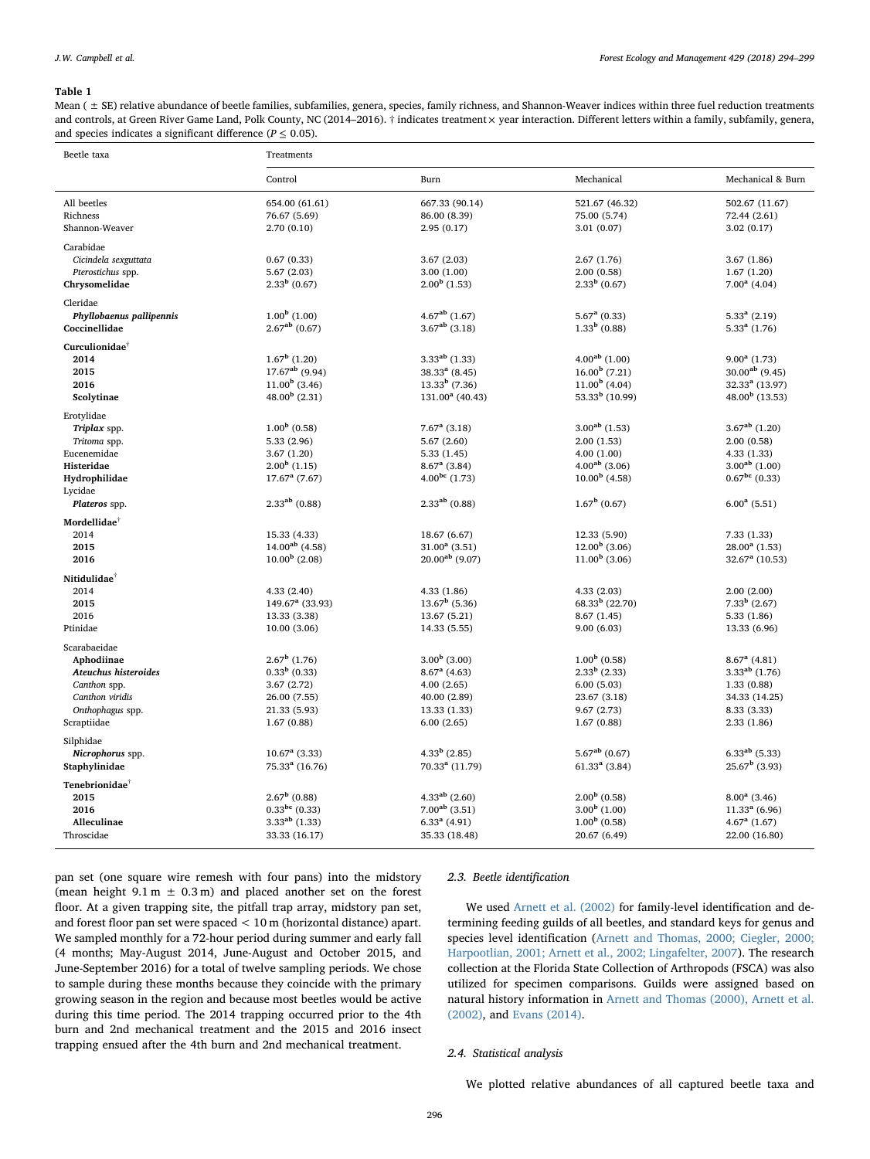#### <span id="page-2-0"></span>Table 1

Mean (  $\pm$  SE) relative abundance of beetle families, subfamilies, genera, species, family richness, and Shannon-Weaver indices within three fuel reduction treatments and controls, at Green River Game Land, Polk County, NC (2014–2016).  $\dagger$  indicates treatment  $\times$  year interaction. Different letters within a family, subfamily, genera, and species indicates a significant difference ( $P \le 0.05$ ).

| Beetle taxa                | Treatments                        |                                |                                |                              |
|----------------------------|-----------------------------------|--------------------------------|--------------------------------|------------------------------|
|                            | Control                           | Burn                           | Mechanical                     | Mechanical & Burn            |
| All beetles                | 654.00 (61.61)                    | 667.33 (90.14)                 | 521.67 (46.32)                 | 502.67 (11.67)               |
| Richness                   | 76.67 (5.69)                      | 86.00 (8.39)                   | 75.00 (5.74)                   | 72.44 (2.61)                 |
| Shannon-Weaver             | 2.70(0.10)                        | 2.95(0.17)                     | 3.01(0.07)                     | 3.02(0.17)                   |
| Carabidae                  |                                   |                                |                                |                              |
| Cicindela sexguttata       | 0.67(0.33)                        | 3.67(2.03)                     | 2.67(1.76)                     | 3.67(1.86)                   |
| Pterostichus spp.          | 5.67(2.03)                        | 3.00(1.00)                     | 2.00(0.58)                     | 1.67(1.20)                   |
| Chrysomelidae              | $2.33^b$ (0.67)                   | $2.00b$ (1.53)                 | $2.33^b$ (0.67)                | $7.00^a$ (4.04)              |
| Cleridae                   |                                   |                                |                                |                              |
| Phyllobaenus pallipennis   | $1.00b$ (1.00)                    | $4.67ab$ (1.67)                | $5.67a$ (0.33)                 | $5.33a$ (2.19)               |
| Coccinellidae              | $2.67^{ab}$ (0.67)                | $3.67^{ab}$ (3.18)             | $1.33b$ (0.88)                 | $5.33a$ (1.76)               |
| Curculionidae <sup>†</sup> |                                   |                                |                                |                              |
| 2014                       | $1.67b$ (1.20)                    | $3.33^{ab}$ (1.33)             | $4.00^{ab}$ (1.00)             | $9.00a$ (1.73)               |
| 2015                       | $17.67^{ab}$ (9.94)               | $38.33a$ (8.45)                | $16.00^{\rm b}$ (7.21)         | $30.00^{ab}$ (9.45)          |
| 2016                       | $11.00b$ (3.46)                   | $13.33b$ (7.36)                | $11.00b$ (4.04)                | $32.33a$ (13.97)             |
| Scolytinae                 | $48.00b$ (2.31)                   | $131.00^a$ (40.43)             | 53.33 $^{\rm b}$ (10.99)       | $48.00b$ (13.53)             |
| Erotylidae                 |                                   |                                |                                |                              |
| Triplax spp.               | $1.00b$ (0.58)                    | $7.67a$ (3.18)                 | $3.00^{ab}$ (1.53)             | $3.67^{ab}$ (1.20)           |
| Tritoma spp.               | 5.33(2.96)                        | 5.67(2.60)                     | 2.00(1.53)                     | 2.00(0.58)                   |
| Eucenemidae                | 3.67(1.20)                        | 5.33(1.45)                     | 4.00(1.00)                     | 4.33(1.33)                   |
| Histeridae                 | $2.00b$ (1.15)                    | $8.67a$ (3.84)                 | $4.00^{ab}$ (3.06)             | $3.00^{ab}$ (1.00)           |
| Hydrophilidae              | $17.67a$ (7.67)                   | $4.00^{bc}$ (1.73)             | $10.00b$ (4.58)                | $0.67^{bc}$ (0.33)           |
| Lycidae<br>Plateros spp.   | $2.33^{ab}$ (0.88)                | $2.33^{ab}$ (0.88)             | $1.67^{\rm b}$ (0.67)          | $6.00^a$ (5.51)              |
| Mordellidae <sup>†</sup>   |                                   |                                |                                |                              |
| 2014                       | 15.33 (4.33)                      | 18.67 (6.67)                   | 12.33 (5.90)                   | 7.33(1.33)                   |
| 2015                       | $14.00^{ab}$ (4.58)               | $31.00^a$ (3.51)               | $12.00b$ (3.06)                | $28.00^a$ (1.53)             |
| 2016                       | $10.00b$ (2.08)                   | $20.00^{ab}$ (9.07)            | $11.00b$ (3.06)                | $32.67a$ (10.53)             |
|                            |                                   |                                |                                |                              |
| Nitidulidae <sup>†</sup>   |                                   |                                |                                |                              |
| 2014                       | 4.33(2.40)                        | 4.33(1.86)<br>$13.67^b$ (5.36) | 4.33(2.03)<br>$68.33b$ (22.70) | 2.00(2.00)<br>$7.33b$ (2.67) |
| 2015<br>2016               | $149.67a$ (33.93)<br>13.33 (3.38) |                                |                                | 5.33(1.86)                   |
| Ptinidae                   | 10.00(3.06)                       | 13.67 (5.21)<br>14.33 (5.55)   | 8.67 (1.45)<br>9.00(6.03)      | 13.33 (6.96)                 |
|                            |                                   |                                |                                |                              |
| Scarabaeidae<br>Aphodiinae | $2.67^{\rm b}$ (1.76)             | $3.00b$ (3.00)                 | $1.00b$ (0.58)                 | $8.67^{\rm a}$ (4.81)        |
| Ateuchus histeroides       | $0.33b$ (0.33)                    | $8.67a$ (4.63)                 | $2.33b$ (2.33)                 | $3.33^{ab}$ (1.76)           |
| Canthon spp.               | 3.67(2.72)                        | 4.00(2.65)                     | 6.00(5.03)                     | 1.33(0.88)                   |
| Canthon viridis            | 26.00 (7.55)                      | 40.00 (2.89)                   | 23.67 (3.18)                   | 34.33 (14.25)                |
| Onthophagus spp.           | 21.33 (5.93)                      | 13.33 (1.33)                   | 9.67(2.73)                     | 8.33 (3.33)                  |
| Scraptiidae                | 1.67(0.88)                        | 6.00(2.65)                     | 1.67(0.88)                     | 2.33(1.86)                   |
| Silphidae                  |                                   |                                |                                |                              |
| Nicrophorus spp.           | $10.67a$ (3.33)                   | $4.33b$ (2.85)                 | $5.67^{ab}$ (0.67)             | $6.33^{ab}$ (5.33)           |
| Staphylinidae              | $75.33a$ (16.76)                  | $70.33a$ (11.79)               | $61.33a$ (3.84)                | $25.67^{\rm b}$ (3.93)       |
| Tenebrionidae <sup>®</sup> |                                   |                                |                                |                              |
| 2015                       | $2.67^{\rm b}$ (0.88)             | $4.33^{ab}$ (2.60)             | $2.00b$ (0.58)                 | $8.00^a$ (3.46)              |
| 2016                       | $0.33^{bc}$ (0.33)                | $7.00^{ab}$ (3.51)             | $3.00b$ (1.00)                 | $11.33a$ (6.96)              |
| Alleculinae                | $3.33^{ab}$ (1.33)                | $6.33a$ (4.91)                 | $1.00b$ (0.58)                 | $4.67a$ (1.67)               |
| Throscidae                 | 33.33 (16.17)                     | 35.33 (18.48)                  | 20.67 (6.49)                   | 22.00 (16.80)                |
|                            |                                   |                                |                                |                              |

pan set (one square wire remesh with four pans) into the midstory (mean height  $9.1 m \pm 0.3 m$ ) and placed another set on the forest floor. At a given trapping site, the pitfall trap array, midstory pan set, and forest floor pan set were spaced < 10 m (horizontal distance) apart. We sampled monthly for a 72-hour period during summer and early fall (4 months; May-August 2014, June-August and October 2015, and June-September 2016) for a total of twelve sampling periods. We chose to sample during these months because they coincide with the primary growing season in the region and because most beetles would be active during this time period. The 2014 trapping occurred prior to the 4th burn and 2nd mechanical treatment and the 2015 and 2016 insect trapping ensued after the 4th burn and 2nd mechanical treatment.

#### 2.3. Beetle identification

We used [Arnett et al. \(2002\)](#page-4-18) for family-level identification and determining feeding guilds of all beetles, and standard keys for genus and species level identification [\(Arnett and Thomas, 2000; Ciegler, 2000;](#page-4-19) [Harpootlian, 2001; Arnett et al., 2002; Lingafelter, 2007](#page-4-19)). The research collection at the Florida State Collection of Arthropods (FSCA) was also utilized for specimen comparisons. Guilds were assigned based on natural history information in [Arnett and Thomas \(2000\), Arnett et al.](#page-4-19) [\(2002\),](#page-4-19) and [Evans \(2014\)](#page-4-20).

#### 2.4. Statistical analysis

We plotted relative abundances of all captured beetle taxa and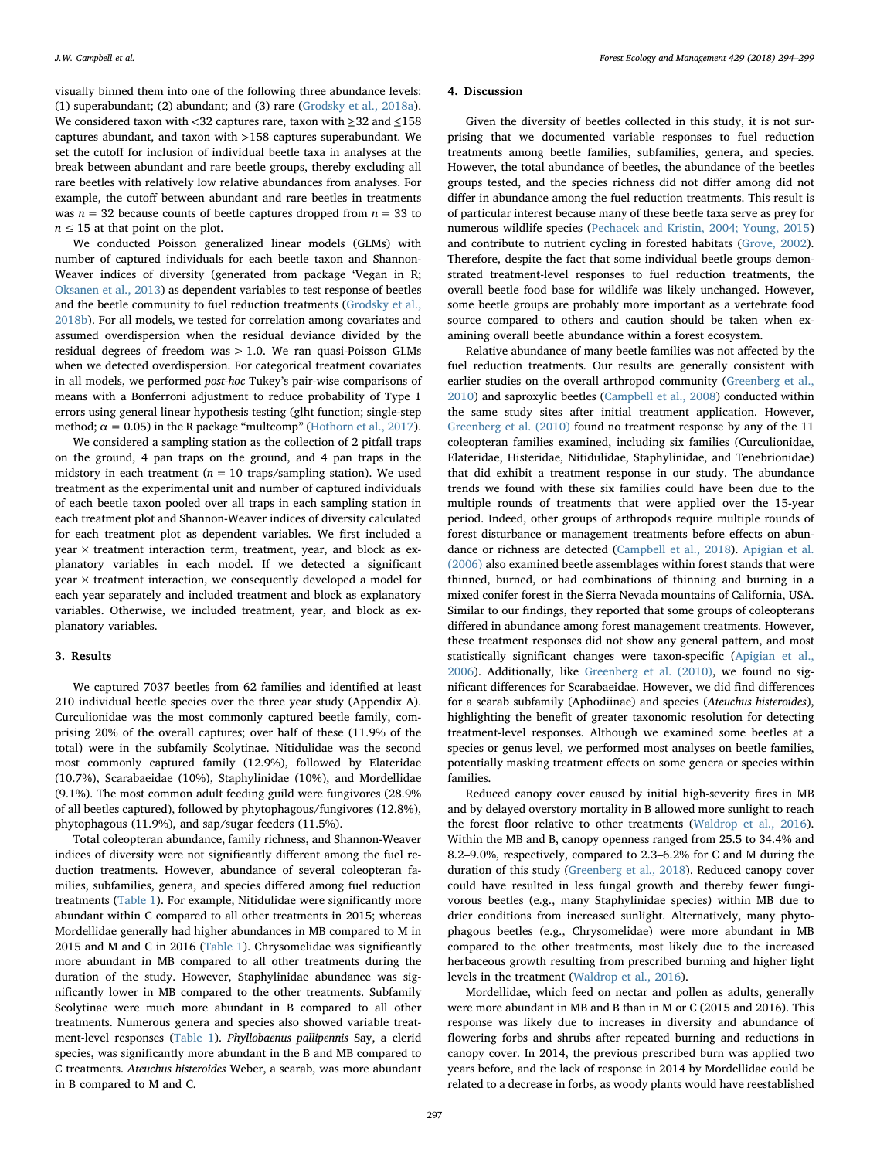visually binned them into one of the following three abundance levels: (1) superabundant; (2) abundant; and (3) rare [\(Grodsky et al., 2018a](#page-4-21)). We considered taxon with <32 captures rare, taxon with ≥32 and ≤158 captures abundant, and taxon with >158 captures superabundant. We set the cutoff for inclusion of individual beetle taxa in analyses at the break between abundant and rare beetle groups, thereby excluding all rare beetles with relatively low relative abundances from analyses. For example, the cutoff between abundant and rare beetles in treatments was  $n = 32$  because counts of beetle captures dropped from  $n = 33$  to  $n \leq 15$  at that point on the plot.

We conducted Poisson generalized linear models (GLMs) with number of captured individuals for each beetle taxon and Shannon-Weaver indices of diversity (generated from package 'Vegan in R; [Oksanen et al., 2013](#page-4-22)) as dependent variables to test response of beetles and the beetle community to fuel reduction treatments [\(Grodsky et al.,](#page-4-23) [2018b\)](#page-4-23). For all models, we tested for correlation among covariates and assumed overdispersion when the residual deviance divided by the residual degrees of freedom was > 1.0. We ran quasi-Poisson GLMs when we detected overdispersion. For categorical treatment covariates in all models, we performed post-hoc Tukey's pair-wise comparisons of means with a Bonferroni adjustment to reduce probability of Type 1 errors using general linear hypothesis testing (glht function; single-step method;  $\alpha = 0.05$ ) in the R package "multcomp" ([Hothorn et al., 2017](#page-4-24)).

We considered a sampling station as the collection of 2 pitfall traps on the ground, 4 pan traps on the ground, and 4 pan traps in the midstory in each treatment ( $n = 10$  traps/sampling station). We used treatment as the experimental unit and number of captured individuals of each beetle taxon pooled over all traps in each sampling station in each treatment plot and Shannon-Weaver indices of diversity calculated for each treatment plot as dependent variables. We first included a year × treatment interaction term, treatment, year, and block as explanatory variables in each model. If we detected a significant year × treatment interaction, we consequently developed a model for each year separately and included treatment and block as explanatory variables. Otherwise, we included treatment, year, and block as explanatory variables.

#### 3. Results

We captured 7037 beetles from 62 families and identified at least 210 individual beetle species over the three year study (Appendix A). Curculionidae was the most commonly captured beetle family, comprising 20% of the overall captures; over half of these (11.9% of the total) were in the subfamily Scolytinae. Nitidulidae was the second most commonly captured family (12.9%), followed by Elateridae (10.7%), Scarabaeidae (10%), Staphylinidae (10%), and Mordellidae (9.1%). The most common adult feeding guild were fungivores (28.9% of all beetles captured), followed by phytophagous/fungivores (12.8%), phytophagous (11.9%), and sap/sugar feeders (11.5%).

Total coleopteran abundance, family richness, and Shannon-Weaver indices of diversity were not significantly different among the fuel reduction treatments. However, abundance of several coleopteran families, subfamilies, genera, and species differed among fuel reduction treatments ([Table 1](#page-2-0)). For example, Nitidulidae were significantly more abundant within C compared to all other treatments in 2015; whereas Mordellidae generally had higher abundances in MB compared to M in 2015 and M and C in 2016 ([Table 1\)](#page-2-0). Chrysomelidae was significantly more abundant in MB compared to all other treatments during the duration of the study. However, Staphylinidae abundance was significantly lower in MB compared to the other treatments. Subfamily Scolytinae were much more abundant in B compared to all other treatments. Numerous genera and species also showed variable treatment-level responses [\(Table 1\)](#page-2-0). Phyllobaenus pallipennis Say, a clerid species, was significantly more abundant in the B and MB compared to C treatments. Ateuchus histeroides Weber, a scarab, was more abundant in B compared to M and C.

#### 4. Discussion

Given the diversity of beetles collected in this study, it is not surprising that we documented variable responses to fuel reduction treatments among beetle families, subfamilies, genera, and species. However, the total abundance of beetles, the abundance of the beetles groups tested, and the species richness did not differ among did not differ in abundance among the fuel reduction treatments. This result is of particular interest because many of these beetle taxa serve as prey for numerous wildlife species [\(Pechacek and Kristin, 2004; Young, 2015\)](#page-4-25) and contribute to nutrient cycling in forested habitats [\(Grove, 2002](#page-4-26)). Therefore, despite the fact that some individual beetle groups demonstrated treatment-level responses to fuel reduction treatments, the overall beetle food base for wildlife was likely unchanged. However, some beetle groups are probably more important as a vertebrate food source compared to others and caution should be taken when examining overall beetle abundance within a forest ecosystem.

Relative abundance of many beetle families was not affected by the fuel reduction treatments. Our results are generally consistent with earlier studies on the overall arthropod community ([Greenberg et al.,](#page-4-13) [2010\)](#page-4-13) and saproxylic beetles ([Campbell et al., 2008](#page-4-27)) conducted within the same study sites after initial treatment application. However, [Greenberg et al. \(2010\)](#page-4-13) found no treatment response by any of the 11 coleopteran families examined, including six families (Curculionidae, Elateridae, Histeridae, Nitidulidae, Staphylinidae, and Tenebrionidae) that did exhibit a treatment response in our study. The abundance trends we found with these six families could have been due to the multiple rounds of treatments that were applied over the 15-year period. Indeed, other groups of arthropods require multiple rounds of forest disturbance or management treatments before effects on abundance or richness are detected ([Campbell et al., 2018\)](#page-4-15). [Apigian et al.](#page-4-28) [\(2006\)](#page-4-28) also examined beetle assemblages within forest stands that were thinned, burned, or had combinations of thinning and burning in a mixed conifer forest in the Sierra Nevada mountains of California, USA. Similar to our findings, they reported that some groups of coleopterans differed in abundance among forest management treatments. However, these treatment responses did not show any general pattern, and most statistically significant changes were taxon-specific [\(Apigian et al.,](#page-4-28) [2006\)](#page-4-28). Additionally, like [Greenberg et al. \(2010\)](#page-4-13), we found no significant differences for Scarabaeidae. However, we did find differences for a scarab subfamily (Aphodiinae) and species (Ateuchus histeroides), highlighting the benefit of greater taxonomic resolution for detecting treatment-level responses. Although we examined some beetles at a species or genus level, we performed most analyses on beetle families, potentially masking treatment effects on some genera or species within families.

Reduced canopy cover caused by initial high-severity fires in MB and by delayed overstory mortality in B allowed more sunlight to reach the forest floor relative to other treatments ([Waldrop et al., 2016](#page-5-2)). Within the MB and B, canopy openness ranged from 25.5 to 34.4% and 8.2–9.0%, respectively, compared to 2.3–6.2% for C and M during the duration of this study [\(Greenberg et al., 2018\)](#page-4-29). Reduced canopy cover could have resulted in less fungal growth and thereby fewer fungivorous beetles (e.g., many Staphylinidae species) within MB due to drier conditions from increased sunlight. Alternatively, many phytophagous beetles (e.g., Chrysomelidae) were more abundant in MB compared to the other treatments, most likely due to the increased herbaceous growth resulting from prescribed burning and higher light levels in the treatment ([Waldrop et al., 2016](#page-5-2)).

Mordellidae, which feed on nectar and pollen as adults, generally were more abundant in MB and B than in M or C (2015 and 2016). This response was likely due to increases in diversity and abundance of flowering forbs and shrubs after repeated burning and reductions in canopy cover. In 2014, the previous prescribed burn was applied two years before, and the lack of response in 2014 by Mordellidae could be related to a decrease in forbs, as woody plants would have reestablished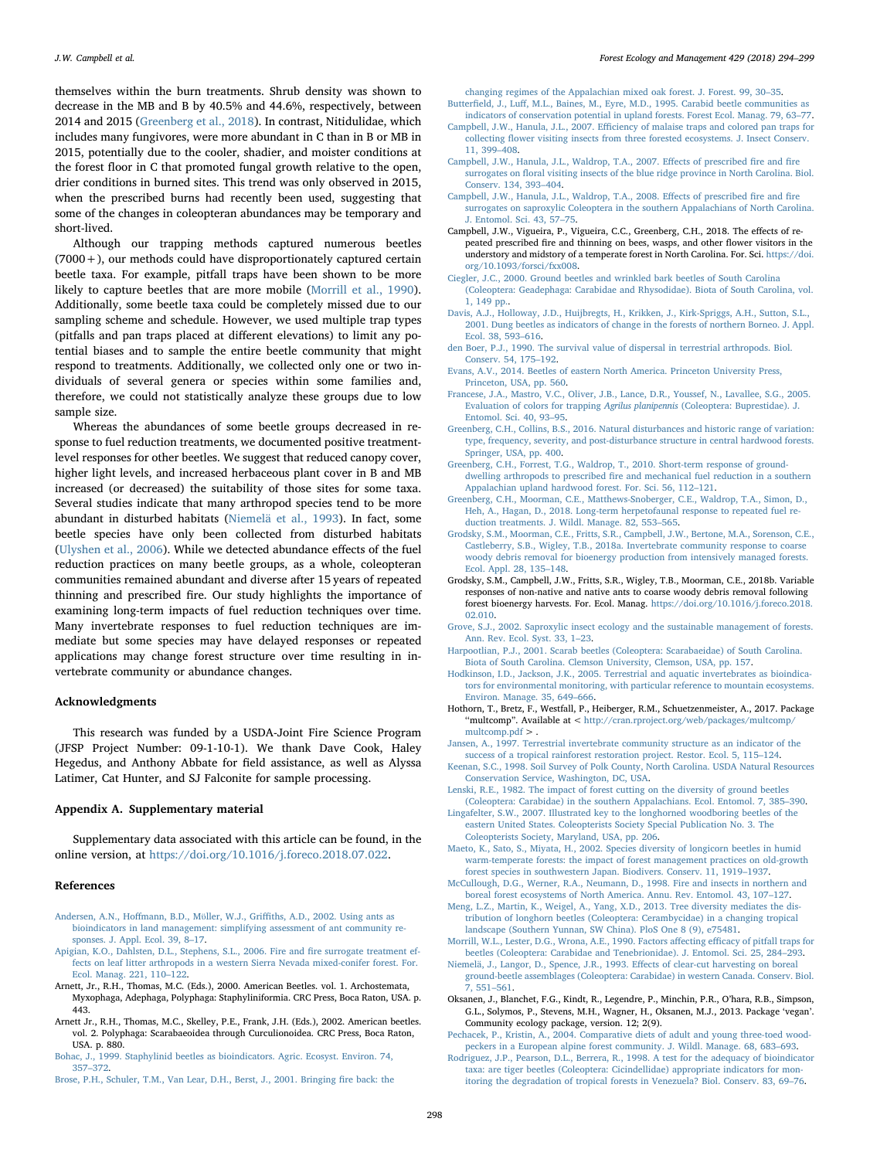themselves within the burn treatments. Shrub density was shown to decrease in the MB and B by 40.5% and 44.6%, respectively, between 2014 and 2015 ([Greenberg et al., 2018](#page-4-29)). In contrast, Nitidulidae, which includes many fungivores, were more abundant in C than in B or MB in 2015, potentially due to the cooler, shadier, and moister conditions at the forest floor in C that promoted fungal growth relative to the open, drier conditions in burned sites. This trend was only observed in 2015, when the prescribed burns had recently been used, suggesting that some of the changes in coleopteran abundances may be temporary and short-lived.

Although our trapping methods captured numerous beetles  $(7000 +)$ , our methods could have disproportionately captured certain beetle taxa. For example, pitfall traps have been shown to be more likely to capture beetles that are more mobile ([Morrill et al., 1990](#page-4-30)). Additionally, some beetle taxa could be completely missed due to our sampling scheme and schedule. However, we used multiple trap types (pitfalls and pan traps placed at different elevations) to limit any potential biases and to sample the entire beetle community that might respond to treatments. Additionally, we collected only one or two individuals of several genera or species within some families and, therefore, we could not statistically analyze these groups due to low sample size.

Whereas the abundances of some beetle groups decreased in response to fuel reduction treatments, we documented positive treatmentlevel responses for other beetles. We suggest that reduced canopy cover, higher light levels, and increased herbaceous plant cover in B and MB increased (or decreased) the suitability of those sites for some taxa. Several studies indicate that many arthropod species tend to be more abundant in disturbed habitats ([Niemelä et al., 1993\)](#page-4-31). In fact, some beetle species have only been collected from disturbed habitats ([Ulyshen et al., 2006\)](#page-5-3). While we detected abundance effects of the fuel reduction practices on many beetle groups, as a whole, coleopteran communities remained abundant and diverse after 15 years of repeated thinning and prescribed fire. Our study highlights the importance of examining long-term impacts of fuel reduction techniques over time. Many invertebrate responses to fuel reduction techniques are immediate but some species may have delayed responses or repeated applications may change forest structure over time resulting in invertebrate community or abundance changes.

#### Acknowledgments

This research was funded by a USDA-Joint Fire Science Program (JFSP Project Number: 09-1-10-1). We thank Dave Cook, Haley Hegedus, and Anthony Abbate for field assistance, as well as Alyssa Latimer, Cat Hunter, and SJ Falconite for sample processing.

#### Appendix A. Supplementary material

Supplementary data associated with this article can be found, in the online version, at [https://doi.org/10.1016/j.foreco.2018.07.022.](https://doi.org/10.1016/j.foreco.2018.07.022)

#### References

- <span id="page-4-3"></span>Andersen, A.N., Hoffmann, B.D., Mϋller, W.J., Griffi[ths, A.D., 2002. Using ants as](http://refhub.elsevier.com/S0378-1127(18)30404-3/h0005) [bioindicators in land management: simplifying assessment of ant community re](http://refhub.elsevier.com/S0378-1127(18)30404-3/h0005)[sponses. J. Appl. Ecol. 39, 8](http://refhub.elsevier.com/S0378-1127(18)30404-3/h0005)–17.
- <span id="page-4-28"></span>[Apigian, K.O., Dahlsten, D.L., Stephens, S.L., 2006. Fire and](http://refhub.elsevier.com/S0378-1127(18)30404-3/h0010) fire surrogate treatment ef[fects on leaf litter arthropods in a western Sierra Nevada mixed-conifer forest. For.](http://refhub.elsevier.com/S0378-1127(18)30404-3/h0010) [Ecol. Manag. 221, 110](http://refhub.elsevier.com/S0378-1127(18)30404-3/h0010)–122.
- <span id="page-4-19"></span>Arnett, Jr., R.H., Thomas, M.C. (Eds.), 2000. American Beetles. vol. 1. Archostemata, Myxophaga, Adephaga, Polyphaga: Staphyliniformia. CRC Press, Boca Raton, USA. p. 443.
- <span id="page-4-18"></span>Arnett Jr., R.H., Thomas, M.C., Skelley, P.E., Frank, J.H. (Eds.), 2002. American beetles. vol. 2. Polyphaga: Scarabaeoidea through Curculionoidea. CRC Press, Boca Raton, USA. p. 880.

<span id="page-4-7"></span>[Bohac, J., 1999. Staphylinid beetles as bioindicators. Agric. Ecosyst. Environ. 74,](http://refhub.elsevier.com/S0378-1127(18)30404-3/h0025) 357–[372](http://refhub.elsevier.com/S0378-1127(18)30404-3/h0025).

<span id="page-4-1"></span>[Brose, P.H., Schuler, T.M., Van Lear, D.H., Berst, J., 2001. Bringing](http://refhub.elsevier.com/S0378-1127(18)30404-3/h0030) fire back: the

[changing regimes of the Appalachian mixed oak forest. J. Forest. 99, 30](http://refhub.elsevier.com/S0378-1127(18)30404-3/h0030)–35. Butterfield, J., Luff[, M.L., Baines, M., Eyre, M.D., 1995. Carabid beetle communities as](http://refhub.elsevier.com/S0378-1127(18)30404-3/h0035)

- [indicators of conservation potential in upland forests. Forest Ecol. Manag. 79, 63](http://refhub.elsevier.com/S0378-1127(18)30404-3/h0035)–77. Campbell, J.W., Hanula, J.L., 2007. Effi[ciency of malaise traps and colored pan traps for](http://refhub.elsevier.com/S0378-1127(18)30404-3/h0040)
- collecting fl[ower visiting insects from three forested ecosystems. J. Insect Conserv.](http://refhub.elsevier.com/S0378-1127(18)30404-3/h0040) [11, 399](http://refhub.elsevier.com/S0378-1127(18)30404-3/h0040)–408. [Campbell, J.W., Hanula, J.L., Waldrop, T.A., 2007. E](http://refhub.elsevier.com/S0378-1127(18)30404-3/h0045)ffects of prescribed fire and fire
- <span id="page-4-12"></span>surrogates on fl[oral visiting insects of the blue ridge province in North Carolina. Biol.](http://refhub.elsevier.com/S0378-1127(18)30404-3/h0045) [Conserv. 134, 393](http://refhub.elsevier.com/S0378-1127(18)30404-3/h0045)–404.
- <span id="page-4-27"></span>[Campbell, J.W., Hanula, J.L., Waldrop, T.A., 2008. E](http://refhub.elsevier.com/S0378-1127(18)30404-3/h0050)ffects of prescribed fire and fire [surrogates on saproxylic Coleoptera in the southern Appalachians of North Carolina.](http://refhub.elsevier.com/S0378-1127(18)30404-3/h0050) [J. Entomol. Sci. 43, 57](http://refhub.elsevier.com/S0378-1127(18)30404-3/h0050)–75.
- <span id="page-4-15"></span>Campbell, J.W., Vigueira, P., Vigueira, C.C., Greenberg, C.H., 2018. The effects of repeated prescribed fire and thinning on bees, wasps, and other flower visitors in the understory and midstory of a temperate forest in North Carolina. For. Sci. [https://doi.](https://doi.org/10.1093/forsci/fxx008) [org/10.1093/forsci/fxx008](https://doi.org/10.1093/forsci/fxx008).
- [Ciegler, J.C., 2000. Ground beetles and wrinkled bark beetles of South Carolina](http://refhub.elsevier.com/S0378-1127(18)30404-3/h0060) [\(Coleoptera: Geadephaga: Carabidae and Rhysodidae\). Biota of South Carolina, vol.](http://refhub.elsevier.com/S0378-1127(18)30404-3/h0060)  $1, 149$  pp.
- <span id="page-4-6"></span>[Davis, A.J., Holloway, J.D., Huijbregts, H., Krikken, J., Kirk-Spriggs, A.H., Sutton, S.L.,](http://refhub.elsevier.com/S0378-1127(18)30404-3/h0065) [2001. Dung beetles as indicators of change in the forests of northern Borneo. J. Appl.](http://refhub.elsevier.com/S0378-1127(18)30404-3/h0065) [Ecol. 38, 593](http://refhub.elsevier.com/S0378-1127(18)30404-3/h0065)–616.
- <span id="page-4-10"></span>den [Boer, P.J., 1990. The survival value of dispersal in terrestrial arthropods. Biol.](http://refhub.elsevier.com/S0378-1127(18)30404-3/h0070) [Conserv. 54, 175](http://refhub.elsevier.com/S0378-1127(18)30404-3/h0070)–192.
- <span id="page-4-20"></span>[Evans, A.V., 2014. Beetles of eastern North America. Princeton University Press,](http://refhub.elsevier.com/S0378-1127(18)30404-3/h0075) [Princeton, USA, pp. 560](http://refhub.elsevier.com/S0378-1127(18)30404-3/h0075).
- <span id="page-4-17"></span>[Francese, J.A., Mastro, V.C., Oliver, J.B., Lance, D.R., Youssef, N., Lavallee, S.G., 2005.](http://refhub.elsevier.com/S0378-1127(18)30404-3/h0080) [Evaluation of colors for trapping](http://refhub.elsevier.com/S0378-1127(18)30404-3/h0080) Agrilus planipennis (Coleoptera: Buprestidae). J. [Entomol. Sci. 40, 93](http://refhub.elsevier.com/S0378-1127(18)30404-3/h0080)–95.
- <span id="page-4-0"></span>[Greenberg, C.H., Collins, B.S., 2016. Natural disturbances and historic range of variation:](http://refhub.elsevier.com/S0378-1127(18)30404-3/h0085) [type, frequency, severity, and post-disturbance structure in central hardwood forests.](http://refhub.elsevier.com/S0378-1127(18)30404-3/h0085) [Springer, USA, pp. 400](http://refhub.elsevier.com/S0378-1127(18)30404-3/h0085).
- <span id="page-4-13"></span>[Greenberg, C.H., Forrest, T.G., Waldrop, T., 2010. Short-term response of ground](http://refhub.elsevier.com/S0378-1127(18)30404-3/h0090)dwelling arthropods to prescribed fi[re and mechanical fuel reduction in a southern](http://refhub.elsevier.com/S0378-1127(18)30404-3/h0090) [Appalachian upland hardwood forest. For. Sci. 56, 112](http://refhub.elsevier.com/S0378-1127(18)30404-3/h0090)–121.
- <span id="page-4-29"></span>[Greenberg, C.H., Moorman, C.E., Matthews-Snoberger, C.E., Waldrop, T.A., Simon, D.,](http://refhub.elsevier.com/S0378-1127(18)30404-3/h9000) [Heh, A., Hagan, D., 2018. Long-term herpetofaunal response to repeated fuel re](http://refhub.elsevier.com/S0378-1127(18)30404-3/h9000)[duction treatments. J. Wildl. Manage. 82, 553](http://refhub.elsevier.com/S0378-1127(18)30404-3/h9000)–565.
- <span id="page-4-21"></span>[Grodsky, S.M., Moorman, C.E., Fritts, S.R., Campbell, J.W., Bertone, M.A., Sorenson, C.E.,](http://refhub.elsevier.com/S0378-1127(18)30404-3/h0095) [Castleberry, S.B., Wigley, T.B., 2018a. Invertebrate community response to coarse](http://refhub.elsevier.com/S0378-1127(18)30404-3/h0095) [woody debris removal for bioenergy production from intensively managed forests.](http://refhub.elsevier.com/S0378-1127(18)30404-3/h0095) [Ecol. Appl. 28, 135](http://refhub.elsevier.com/S0378-1127(18)30404-3/h0095)–148.
- <span id="page-4-23"></span>Grodsky, S.M., Campbell, J.W., Fritts, S.R., Wigley, T.B., Moorman, C.E., 2018b. Variable responses of non-native and native ants to coarse woody debris removal following forest bioenergy harvests. For. Ecol. Manag. [https://doi.org/10.1016/j.foreco.2018.](https://doi.org/10.1016/j.foreco.2018.02.010) [02.010](https://doi.org/10.1016/j.foreco.2018.02.010).
- <span id="page-4-26"></span>[Grove, S.J., 2002. Saproxylic insect ecology and the sustainable management of forests.](http://refhub.elsevier.com/S0378-1127(18)30404-3/h0105) [Ann. Rev. Ecol. Syst. 33, 1](http://refhub.elsevier.com/S0378-1127(18)30404-3/h0105)–23.
- [Harpootlian, P.J., 2001. Scarab beetles \(Coleoptera: Scarabaeidae\) of South Carolina.](http://refhub.elsevier.com/S0378-1127(18)30404-3/h0110) [Biota of South Carolina. Clemson University, Clemson, USA, pp. 157](http://refhub.elsevier.com/S0378-1127(18)30404-3/h0110).
- <span id="page-4-4"></span>[Hodkinson, I.D., Jackson, J.K., 2005. Terrestrial and aquatic invertebrates as bioindica](http://refhub.elsevier.com/S0378-1127(18)30404-3/h0115)[tors for environmental monitoring, with particular reference to mountain ecosystems.](http://refhub.elsevier.com/S0378-1127(18)30404-3/h0115) [Environ. Manage. 35, 649](http://refhub.elsevier.com/S0378-1127(18)30404-3/h0115)–666.
- <span id="page-4-24"></span>Hothorn, T., Bretz, F., Westfall, P., Heiberger, R.M., Schuetzenmeister, A., 2017. Package ''multcomp". Available at < [http://cran.rproject.org/web/packages/multcomp/](http://cran.rproject.org/web/packages/multcomp/multcomp.pdf) [multcomp.pdf](http://cran.rproject.org/web/packages/multcomp/multcomp.pdf) > .
- <span id="page-4-9"></span>[Jansen, A., 1997. Terrestrial invertebrate community structure as an indicator of the](http://refhub.elsevier.com/S0378-1127(18)30404-3/h0125) [success of a tropical rainforest restoration project. Restor. Ecol. 5, 115](http://refhub.elsevier.com/S0378-1127(18)30404-3/h0125)–124.
- <span id="page-4-14"></span>[Keenan, S.C., 1998. Soil Survey of Polk County, North Carolina. USDA Natural Resources](http://refhub.elsevier.com/S0378-1127(18)30404-3/h0130) [Conservation Service, Washington, DC, USA.](http://refhub.elsevier.com/S0378-1127(18)30404-3/h0130)
- <span id="page-4-11"></span>[Lenski, R.E., 1982. The impact of forest cutting on the diversity of ground beetles](http://refhub.elsevier.com/S0378-1127(18)30404-3/h0135) [\(Coleoptera: Carabidae\) in the southern Appalachians. Ecol. Entomol. 7, 385](http://refhub.elsevier.com/S0378-1127(18)30404-3/h0135)–390.
- [Lingafelter, S.W., 2007. Illustrated key to the longhorned woodboring beetles of the](http://refhub.elsevier.com/S0378-1127(18)30404-3/h0140) [eastern United States. Coleopterists Society Special Publication No. 3. The](http://refhub.elsevier.com/S0378-1127(18)30404-3/h0140) [Coleopterists Society, Maryland, USA, pp. 206](http://refhub.elsevier.com/S0378-1127(18)30404-3/h0140).
- <span id="page-4-5"></span>[Maeto, K., Sato, S., Miyata, H., 2002. Species diversity of longicorn beetles in humid](http://refhub.elsevier.com/S0378-1127(18)30404-3/h0145) [warm-temperate forests: the impact of forest management practices on old-growth](http://refhub.elsevier.com/S0378-1127(18)30404-3/h0145) [forest species in southwestern Japan. Biodivers. Conserv. 11, 1919](http://refhub.elsevier.com/S0378-1127(18)30404-3/h0145)–1937.
- <span id="page-4-2"></span>[McCullough, D.G., Werner, R.A., Neumann, D., 1998. Fire and insects in northern and](http://refhub.elsevier.com/S0378-1127(18)30404-3/h0150) [boreal forest ecosystems of North America. Annu. Rev. Entomol. 43, 107](http://refhub.elsevier.com/S0378-1127(18)30404-3/h0150)–127.
- <span id="page-4-16"></span>[Meng, L.Z., Martin, K., Weigel, A., Yang, X.D., 2013. Tree diversity mediates the dis](http://refhub.elsevier.com/S0378-1127(18)30404-3/h0155)[tribution of longhorn beetles \(Coleoptera: Cerambycidae\) in a changing tropical](http://refhub.elsevier.com/S0378-1127(18)30404-3/h0155) [landscape \(Southern Yunnan, SW China\). PloS One 8 \(9\), e75481](http://refhub.elsevier.com/S0378-1127(18)30404-3/h0155).
- <span id="page-4-30"></span>[Morrill, W.L., Lester, D.G., Wrona, A.E., 1990. Factors a](http://refhub.elsevier.com/S0378-1127(18)30404-3/h0160)ffecting efficacy of pitfall traps for [beetles \(Coleoptera: Carabidae and Tenebrionidae\). J. Entomol. Sci. 25, 284](http://refhub.elsevier.com/S0378-1127(18)30404-3/h0160)–293.
- <span id="page-4-31"></span>[Niemelä, J., Langor, D., Spence, J.R., 1993. E](http://refhub.elsevier.com/S0378-1127(18)30404-3/h0165)ffects of clear-cut harvesting on boreal [ground-beetle assemblages \(Coleoptera: Carabidae\) in western Canada. Conserv. Biol.](http://refhub.elsevier.com/S0378-1127(18)30404-3/h0165) [7, 551](http://refhub.elsevier.com/S0378-1127(18)30404-3/h0165)–561.
- <span id="page-4-22"></span>Oksanen, J., Blanchet, F.G., Kindt, R., Legendre, P., Minchin, P.R., O'hara, R.B., Simpson, G.L., Solymos, P., Stevens, M.H., Wagner, H., Oksanen, M.J., 2013. Package 'vegan'. Community ecology package, version. 12; 2(9).
- <span id="page-4-25"></span>[Pechacek, P., Kristin, A., 2004. Comparative diets of adult and young three-toed wood](http://refhub.elsevier.com/S0378-1127(18)30404-3/h0180)[peckers in a European alpine forest community. J. Wildl. Manage. 68, 683](http://refhub.elsevier.com/S0378-1127(18)30404-3/h0180)–693.
- <span id="page-4-8"></span>[Rodriguez, J.P., Pearson, D.L., Berrera, R., 1998. A test for the adequacy of bioindicator](http://refhub.elsevier.com/S0378-1127(18)30404-3/h0185) [taxa: are tiger beetles \(Coleoptera: Cicindellidae\) appropriate indicators for mon](http://refhub.elsevier.com/S0378-1127(18)30404-3/h0185)[itoring the degradation of tropical forests in Venezuela? Biol. Conserv. 83, 69](http://refhub.elsevier.com/S0378-1127(18)30404-3/h0185)–76.